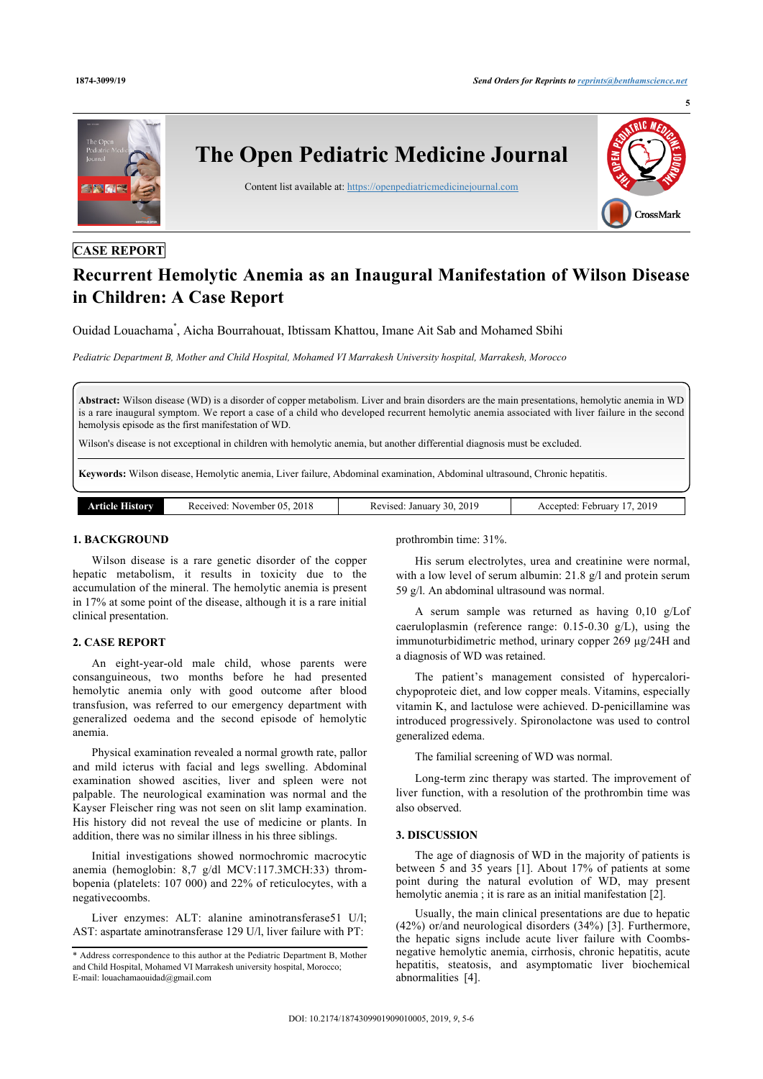

# **CASE REPORT**

# **Recurrent Hemolytic Anemia as an Inaugural Manifestation of Wilson Disease in Children: A Case Report**

Ouidad Louachama[\\*](#page-0-0) , Aicha Bourrahouat, Ibtissam Khattou, Imane Ait Sab and Mohamed Sbihi

*Pediatric Department B, Mother and Child Hospital, Mohamed VI Marrakesh University hospital, Marrakesh, Morocco*

**Abstract:** Wilson disease (WD) is a disorder of copper metabolism. Liver and brain disorders are the main presentations, hemolytic anemia in WD is a rare inaugural symptom. We report a case of a child who developed recurrent hemolytic anemia associated with liver failure in the second hemolysis episode as the first manifestation of WD.

Wilson's disease is not exceptional in children with hemolytic anemia, but another differential diagnosis must be excluded.

**Keywords:** Wilson disease, Hemolytic anemia, Liver failure, Abdominal examination, Abdominal ultrasound, Chronic hepatitis.

| Article I<br>History | Received: November 05, 2018 | 30, 2019<br>evised: January <sup>37</sup> | , 2019<br>Accepted:<br>February. |
|----------------------|-----------------------------|-------------------------------------------|----------------------------------|

# **1. BACKGROUND**

Wilson disease is a rare genetic disorder of the copper hepatic metabolism, it results in toxicity due to the accumulation of the mineral. The hemolytic anemia is present in 17% at some point of the disease, although it is a rare initial clinical presentation.

### **2. CASE REPORT**

An eight-year-old male child, whose parents were consanguineous, two months before he had presented hemolytic anemia only with good outcome after blood transfusion, was referred to our emergency department with generalized oedema and the second episode of hemolytic anemia.

Physical examination revealed a normal growth rate, pallor and mild icterus with facial and legs swelling. Abdominal examination showed ascities, liver and spleen were not palpable. The neurological examination was normal and the Kayser Fleischer ring was not seen on slit lamp examination. His history did not reveal the use of medicine or plants. In addition, there was no similar illness in his three siblings.

Initial investigations showed normochromic macrocytic anemia (hemoglobin: 8,7 g/dl MCV:117.3MCH:33) thrombopenia (platelets: 107 000) and 22% of reticulocytes, with a negativecoombs.

Liver enzymes: ALT: alanine aminotransferase51 U/l; AST: aspartate aminotransferase 129 U/l, liver failure with PT:

prothrombin time: 31%.

His serum electrolytes, urea and creatinine were normal, with a low level of serum albumin: 21.8 g/l and protein serum 59 g/l. An abdominal ultrasound was normal.

A serum sample was returned as having 0,10 g/Lof caeruloplasmin (reference range: 0.15-0.30 g/L), using the immunoturbidimetric method, urinary copper 269 µg/24H and a diagnosis of WD was retained.

The patient's management consisted of hypercalorichypoproteic diet, and low copper meals. Vitamins, especially vitamin K, and lactulose were achieved. D-penicillamine was introduced progressively. Spironolactone was used to control generalized edema.

The familial screening of WD was normal.

Long-term zinc therapy was started. The improvement of liver function, with a resolution of the prothrombin time was also observed.

# **3. DISCUSSION**

The age of diagnosis of WD in the majority of patients is between 5 and 35 years [[1\]](#page-1-0). About 17% of patients at some point during the natural evolution of WD, may present hemolytic anemia ; it is rare as an initial manifestation [[2](#page-1-1)].

Usually, the main clinical presentations are due to hepatic (42%) or/and neurological disorders (34%) [[3\]](#page-1-2). Furthermore, the hepatic signs include acute liver failure with Coombsnegative hemolytic anemia, cirrhosis, chronic hepatitis, acute hepatitis, steatosis, and asymptomatic liver biochemical abnormalities [\[4\]](#page-1-3).

<span id="page-0-0"></span><sup>\*</sup> Address correspondence to this author at the Pediatric Department B, Mother and Child Hospital, Mohamed VI Marrakesh university hospital, Morocco; E-mail: [louachamaouidad@gmail.com](mailto:louachamaouidad@gmail.com)